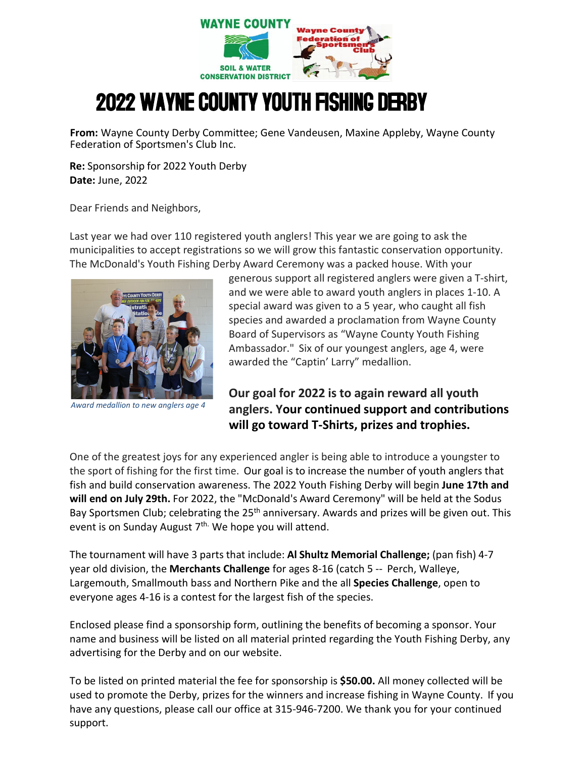

## 2022 WAYNE COUNTY YOUTH FISHING DERBY

**From:** Wayne County Derby Committee; Gene Vandeusen, Maxine Appleby, Wayne County Federation of Sportsmen's Club Inc.

**Re:** Sponsorship for 2022 Youth Derby **Date:** June, 2022

Dear Friends and Neighbors,

Last year we had over 110 registered youth anglers! This year we are going to ask the municipalities to accept registrations so we will grow this fantastic conservation opportunity. The McDonald's Youth Fishing Derby Award Ceremony was a packed house. With your



*Award medallion to new anglers age 4*

generous support all registered anglers were given a T-shirt, and we were able to award youth anglers in places 1-10. A special award was given to a 5 year, who caught all fish species and awarded a proclamation from Wayne County Board of Supervisors as "Wayne County Youth Fishing Ambassador." Six of our youngest anglers, age 4, were awarded the "Captin' Larry" medallion.

## **Our goal for 2022 is to again reward all youth anglers. Your continued support and contributions will go toward T-Shirts, prizes and trophies.**

One of the greatest joys for any experienced angler is being able to introduce a youngster to the sport of fishing for the first time. Our goal is to increase the number of youth anglers that fish and build conservation awareness. The 2022 Youth Fishing Derby will begin **June 17th and will end on July 29th.** For 2022, the "McDonald's Award Ceremony" will be held at the Sodus Bay Sportsmen Club; celebrating the 25<sup>th</sup> anniversary. Awards and prizes will be given out. This event is on Sunday August 7<sup>th.</sup> We hope you will attend.

The tournament will have 3 parts that include: **Al Shultz Memorial Challenge;** (pan fish) 4-7 year old division, the **Merchants Challenge** for ages 8-16 (catch 5 -- Perch, Walleye, Largemouth, Smallmouth bass and Northern Pike and the all **Species Challenge**, open to everyone ages 4-16 is a contest for the largest fish of the species.

Enclosed please find a sponsorship form, outlining the benefits of becoming a sponsor. Your name and business will be listed on all material printed regarding the Youth Fishing Derby, any advertising for the Derby and on our website.

To be listed on printed material the fee for sponsorship is **\$50.00.** All money collected will be used to promote the Derby, prizes for the winners and increase fishing in Wayne County. If you have any questions, please call our office at 315-946-7200. We thank you for your continued support.